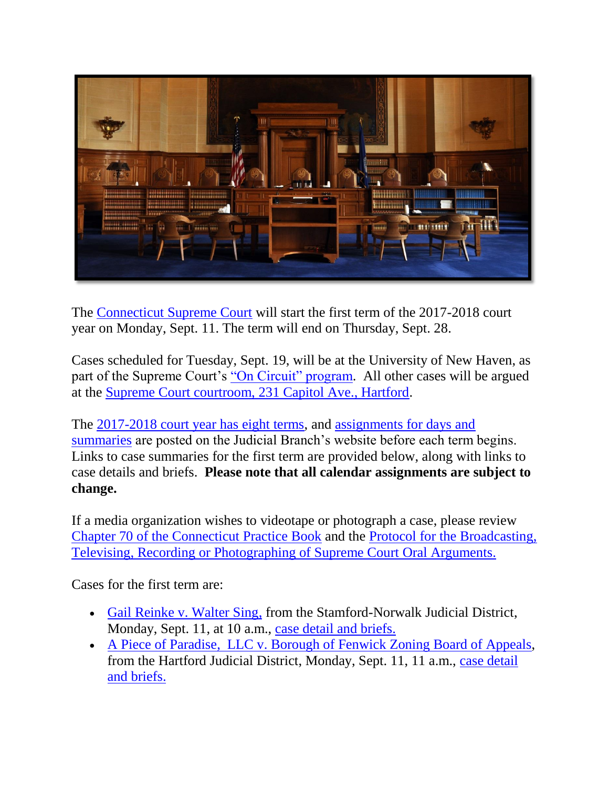

The [Connecticut Supreme Court](http://jud.ct.gov/supremecourt/) will start the first term of the 2017-2018 court year on Monday, Sept. 11. The term will end on Thursday, Sept. 28.

Cases scheduled for Tuesday, Sept. 19, will be at the University of New Haven, as part of the Supreme Court's ["On Circuit" program.](https://www.jud.ct.gov/external/supapp/Circuit/default.htm) All other cases will be argued at the [Supreme Court courtroom, 231 Capitol Ave., Hartford.](http://www.jud.ct.gov/directory/directory/directions/supremecourt.htm)

The [2017-2018 court year has eight terms,](http://www.jud.ct.gov/external/supapp/CourtTermSup.htm) and [assignments for days and](http://www.jud.ct.gov/external/supapp/sup_assign.htm)  [summaries](http://www.jud.ct.gov/external/supapp/sup_assign.htm) are posted on the Judicial Branch's website before each term begins. Links to case summaries for the first term are provided below, along with links to case details and briefs. **Please note that all calendar assignments are subject to change.** 

If a media organization wishes to videotape or photograph a case, please review [Chapter 70 of the Connecticut Practice Book](http://www.jud.ct.gov/pb.htm) and the [Protocol for the Broadcasting,](http://www.jud.ct.gov/external/supapp/protocol_sup_oral_argu.htm)  [Televising, Recording or Photographing of Supreme Court Oral Arguments.](http://www.jud.ct.gov/external/supapp/protocol_sup_oral_argu.htm)

Cases for the first term are:

- [Gail Reinke v. Walter Sing,](http://jud.ct.gov/external/supapp/summaries/docket/19687.htm) from the Stamford-Norwalk Judicial District, Monday, Sept. 11, at 10 a.m., [case detail and briefs.](http://appellateinquiry.jud.ct.gov/CaseDetail.aspx?CRN=53891&Type=AppealNo)
- [A Piece of Paradise, LLC v. Borough of Fenwick](http://jud.ct.gov/external/supapp/summaries/docket/19890.htm) Zoning Board of Appeals, from the Hartford Judicial District, Monday, Sept. 11, 11 a.m., [case detail](http://appellateinquiry.jud.ct.gov/CaseDetail.aspx?CRN=55743&Type=AppealNo)  [and briefs.](http://appellateinquiry.jud.ct.gov/CaseDetail.aspx?CRN=55743&Type=AppealNo)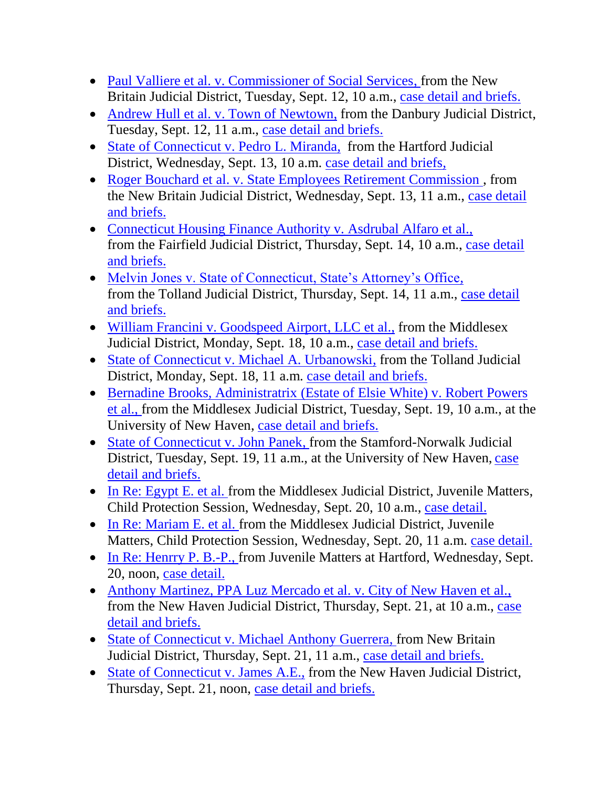- [Paul Valliere et al. v. Commissioner of Social Services,](http://jud.ct.gov/external/supapp/summaries/docket/19701.htm) from the New Britain Judicial District, Tuesday, Sept. 12, 10 a.m., [case detail and briefs.](http://appellateinquiry.jud.ct.gov/CaseDetail.aspx?CRN=54007&Type=AppealNo)
- Andrew Hull et [al. v. Town of Newtown,](http://jud.ct.gov/external/supapp/summaries/docket/19656.htm) from the Danbury Judicial District, Tuesday, Sept. 12, 11 a.m., [case detail and briefs.](http://appellateinquiry.jud.ct.gov/CaseDetail.aspx?CRN=53567&Type=AppealNo)
- [State of Connecticut v. Pedro L. Miranda,](http://jud.ct.gov/external/supapp/summaries/docket/19597.htm) from the Hartford Judicial District, Wednesday, Sept. 13, 10 a.m. [case detail and briefs,](http://appellateinquiry.jud.ct.gov/CaseDetail.aspx?CRN=52837&Type=AppealNo)
- Roger Bouchard et al. v. State Employees Retirement Commission, from the New Britain Judicial District, Wednesday, Sept. 13, 11 a.m., [case detail](http://appellateinquiry.jud.ct.gov/CaseDetail.aspx?CRN=54513&Type=AppealNo)  [and briefs.](http://appellateinquiry.jud.ct.gov/CaseDetail.aspx?CRN=54513&Type=AppealNo)
- [Connecticut Housing Finance Authority v. Asdrubal Alfaro et al.,](http://jud.ct.gov/external/supapp/summaries/docket/19720.htm) from the Fairfield Judicial District, Thursday, Sept. 14, 10 a.m., [case detail](http://appellateinquiry.jud.ct.gov/CaseDetail.aspx?CRN=54167&Type=AppealNo)  [and briefs.](http://appellateinquiry.jud.ct.gov/CaseDetail.aspx?CRN=54167&Type=AppealNo)
- [Melvin Jones v. State of Connecticut, State's Attorney's Office,](http://jud.ct.gov/external/supapp/summaries/docket/19725.htm) from the Tolland Judicial District, Thursday, Sept. 14, 11 a.m., [case detail](http://appellateinquiry.jud.ct.gov/CaseDetail.aspx?CRN=54208&Type=AppealNo)  [and briefs.](http://appellateinquiry.jud.ct.gov/CaseDetail.aspx?CRN=54208&Type=AppealNo)
- [William Francini v. Goodspeed Airport,](http://jud.ct.gov/external/supapp/summaries/docket/19705.htm) LLC et al., from the Middlesex Judicial District, Monday, Sept. 18, 10 a.m., [case detail and briefs.](http://appellateinquiry.jud.ct.gov/CaseDetail.aspx?CRN=54037&Type=AppealNo)
- [State of Connecticut v. Michael A. Urbanowski,](http://jud.ct.gov/external/supapp/summaries/docket/19678.htm) from the Tolland Judicial District, Monday, Sept. 18, 11 a.m. [case detail and briefs.](http://appellateinquiry.jud.ct.gov/CaseDetail.aspx?CRN=53749&Type=AppealNo)
- Bernadine Brooks, Administratrix (Estate of Elsie White) v. Robert Powers [et al.,](http://jud.ct.gov/external/supapp/summaries/docket/19727.htm) from the Middlesex Judicial District, Tuesday, Sept. 19, 10 a.m., at the University of New Haven, [case detail and briefs.](http://appellateinquiry.jud.ct.gov/CaseDetail.aspx?CRN=54233&Type=AppealNo)
- [State of Connecticut v. John Panek,](http://jud.ct.gov/external/supapp/summaries/docket/19772.htm) from the Stamford-Norwalk Judicial District, Tuesday, Sept. 19, 11 a.m., at the University of New Haven, [case](http://appellateinquiry.jud.ct.gov/CaseDetail.aspx?CRN=54658&Type=AppealNo)  [detail and briefs.](http://appellateinquiry.jud.ct.gov/CaseDetail.aspx?CRN=54658&Type=AppealNo)
- [In Re: Egypt E. et al.](http://jud.ct.gov/external/supapp/summaries/docket/19913-19914.htm) from the Middlesex Judicial District, Juvenile Matters, Child Protection Session, Wednesday, Sept. 20, 10 a.m., [case detail.](http://appellateinquiry.jud.ct.gov/CaseDetail.aspx?CRN=56150&Type=AppealNo)
- [In Re: Mariam E. et al. f](http://jud.ct.gov/external/supapp/summaries/docket/19913-19914.htm)rom the Middlesex Judicial District, Juvenile Matters, Child Protection Session, Wednesday, Sept. 20, 11 a.m. [case detail.](http://appellateinquiry.jud.ct.gov/CaseDetail.aspx?CRN=56149&Type=AppealNo)
- [In Re: Henrry P. B.-P.,](http://jud.ct.gov/external/supapp/summaries/docket/19907.htm) from Juvenile Matters at Hartford, Wednesday, Sept. 20, noon, [case detail.](http://appellateinquiry.jud.ct.gov/CaseDetail.aspx?CRN=56074&Type=AppealNo)
- [Anthony Martinez, PPA Luz Mercado et al. v. City of New Haven et al.,](http://jud.ct.gov/external/supapp/summaries/docket/19850.htm) from the New Haven Judicial District, Thursday, Sept. 21, at 10 a.m., [case](http://appellateinquiry.jud.ct.gov/CaseDetail.aspx?CRN=55302&Type=AppealNo)  [detail and briefs.](http://appellateinquiry.jud.ct.gov/CaseDetail.aspx?CRN=55302&Type=AppealNo)
- [State of Connecticut v. Michael Anthony Guerrera,](http://jud.ct.gov/external/supapp/summaries/docket/19785.htm) from New Britain Judicial District, Thursday, Sept. 21, 11 a.m., [case detail and briefs.](http://appellateinquiry.jud.ct.gov/CaseDetail.aspx?CRN=54746&Type=AppealNo)
- [State of Connecticut v. James A.E.,](http://jud.ct.gov/external/supapp/summaries/docket/19711.htm) from the New Haven Judicial District, Thursday, Sept. 21, noon, [case detail and briefs.](http://appellateinquiry.jud.ct.gov/CaseDetail.aspx?CRN=54108&Type=AppealNo)